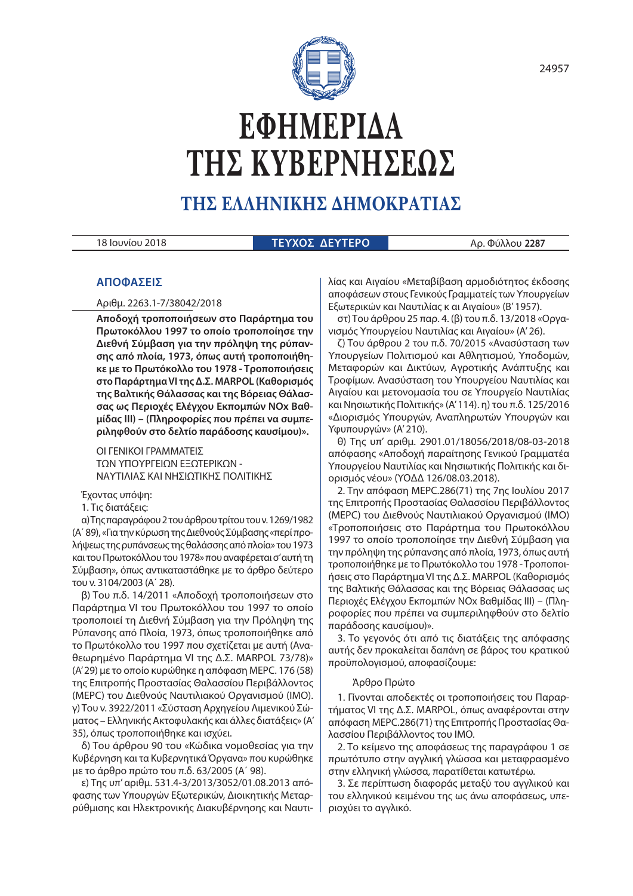

# **ΕΦΗΜΕΡΙ∆Α ΤΗΣ ΚΥΒΕΡΝΗΣΕΩΣ**

# **ΤΗΣ ΕΛΛΗΝΙΚΗΣ ∆ΗΜΟΚΡΑΤΙΑΣ**

|  | 18 Ιουνίου 2018 |  |  |
|--|-----------------|--|--|
|--|-----------------|--|--|

18 Ιουνίου 2018 **ΤΕΥΧΟΣ ΔΕΥΤΕΡΟ** Αρ. Φύλλου **2287**

# **ΑΠΟΦΑΣΕΙΣ**

Αριθμ. 2263.1-7/38042/2018

**Αποδοχή τροποποιήσεων στο Παράρτημα του Πρωτοκόλλου 1997 το οποίο τροποποίησε την Διεθνή Σύμβαση για την πρόληψη της ρύπανσης από πλοία, 1973, όπως αυτή τροποποιήθηκε με το Πρωτόκολλο του 1978 - Τροποποιήσεις στο Παράρτημα VΙ της Δ.Σ. MARPOL (Καθορισμός της Βαλτικής Θάλασσας και της Βόρειας Θάλασσας ως Περιοχές Ελέγχου Εκπομπών ΝΟx Βαθμίδας ΙΙΙ) – (Πληροφορίες που πρέπει να συμπεριληφθούν στο δελτίο παράδοσης καυσίμου)».**

 ΟΙ ΓΕΝΙΚΟΙ ΓΡΑΜΜΑΤΕΙΣ ΤΩΝ ΥΠΟΥΡΓΕΙΩΝ ΕΞΩΤΕΡΙΚΩΝ - ΝΑΥΤΙΛΙΑΣ ΚΑΙ ΝΗΣΙΩΤΙΚΗΣ ΠΟΛΙΤΙΚΗΣ

Έχοντας υπόψη:

1. Τις διατάξεις:

α) Της παραγράφου 2 του άρθρου τρίτου του ν. 1269/1982 (Α΄ 89), «Για την κύρωση της Διεθνούς Σύμβασης «περί προλήψεως της ρυπάνσεως της θαλάσσης από πλοία» του 1973 και του Πρωτοκόλλου του 1978» που αναφέρεται σ' αυτή τη Σύμβαση», όπως αντικαταστάθηκε με το άρθρο δεύτερο του ν. 3104/2003 (Α΄ 28).

β) Του π.δ. 14/2011 «Αποδοχή τροποποιήσεων στο Παράρτημα VI του Πρωτοκόλλου του 1997 το οποίο τροποποιεί τη Διεθνή Σύμβαση για την Πρόληψη της Ρύπανσης από Πλοία, 1973, όπως τροποποιήθηκε από το Πρωτόκολλο του 1997 που σχετίζεται με αυτή (Αναθεωρημένο Παράρτημα VI της Δ.Σ. MARPOL 73/78)» (Α' 29) με το οποίο κυρώθηκε η απόφαση MEPC. 176 (58) της Επιτροπής Προστασίας Θαλασσίου Περιβάλλοντος (MEPC) του Διεθνούς Ναυτιλιακού Οργανισμού (IMO). γ) Του ν. 3922/2011 «Σύσταση Αρχηγείου Λιμενικού Σώματος – Ελληνικής Ακτοφυλακής και άλλες διατάξεις» (Α' 35), όπως τροποποιήθηκε και ισχύει.

δ) Του άρθρου 90 του «Κώδικα νομοθεσίας για την Κυβέρνηση και τα Κυβερνητικά Όργανα» που κυρώθηκε με το άρθρο πρώτο του π.δ. 63/2005 (Α΄ 98).

ε) Της υπ' αριθμ. 531.4-3/2013/3052/01.08.2013 απόφασης των Υπουργών Εξωτερικών, Διοικητικής Μεταρρύθμισης και Ηλεκτρονικής Διακυβέρνησης και Ναυτιλίας και Αιγαίου «Μεταβίβαση αρμοδιότητος έκδοσης αποφάσεων στους Γενικούς Γραμματείς των Υπουργείων Εξωτερικών και Ναυτιλίας κ αι Αιγαίου» (Β' 1957).

στ) Του άρθρου 25 παρ. 4. (β) του π.δ. 13/2018 «Οργανισμός Υπουργείου Ναυτιλίας και Αιγαίου» (Α' 26).

ζ) Του άρθρου 2 του π.δ. 70/2015 «Ανασύσταση των Υπουργείων Πολιτισμού και Αθλητισμού, Υποδομών, Μεταφορών και Δικτύων, Αγροτικής Ανάπτυξης και Τροφίμων. Ανασύσταση του Υπουργείου Ναυτιλίας και Αιγαίου και μετονομασία του σε Υπουργείο Ναυτιλίας και Νησιωτικής Πολιτικής» (Α' 114). η) του π.δ. 125/2016 «Διορισμός Υπουργών, Αναπληρωτών Υπουργών και Υφυπουργών» (Α' 210).

θ) Της υπ' αριθμ. 2901.01/18056/2018/08-03-2018 απόφασης «Αποδοχή παραίτησης Γενικού Γραμματέα Υπουργείου Ναυτιλίας και Νησιωτικής Πολιτικής και διορισμός νέου» (ΥΟΔΔ 126/08.03.2018).

2. Την απόφαση MEPC.286(71) της 7ης Ιουλίου 2017 της Επιτροπής Προστασίας Θαλασσίου Περιβάλλοντος (MEPC) του Διεθνούς Ναυτιλιακού Οργανισμού (ΙΜΟ) «Τροποποιήσεις στο Παράρτημα του Πρωτοκόλλου 1997 το οποίο τροποποίησε την Διεθνή Σύμβαση για την πρόληψη της ρύπανσης από πλοία, 1973, όπως αυτή τροποποιήθηκε με το Πρωτόκολλο του 1978 - Τροποποιήσεις στο Παράρτημα VΙ της Δ.Σ. MARPOL (Καθορισμός της Βαλτικής Θάλασσας και της Βόρειας Θάλασσας ως Περιοχές Ελέγχου Εκπομπών ΝΟx Βαθμίδας ΙΙΙ) – (Πληροφορίες που πρέπει να συμπεριληφθούν στο δελτίο παράδοσης καυσίμου)».

3. Το γεγονός ότι από τις διατάξεις της απόφασης αυτής δεν προκαλείται δαπάνη σε βάρος του κρατικού προϋπολογισμού, αποφασίζουμε:

#### Άρθρο Πρώτο

1. Γίνονται αποδεκτές οι τροποποιήσεις του Παραρτήματος VΙ της Δ.Σ. MARPOL, όπως αναφέρονται στην απόφαση MEPC.286(71) της Επιτροπής Προστασίας Θαλασσίου Περιβάλλοντος του ΙΜΟ.

2. Το κείμενο της αποφάσεως της παραγράφου 1 σε πρωτότυπο στην αγγλική γλώσσα και μεταφρασμένο στην ελληνική γλώσσα, παρατίθεται κατωτέρω.

3. Σε περίπτωση διαφοράς μεταξύ του αγγλικού και του ελληνικού κειμένου της ως άνω αποφάσεως, υπερισχύει το αγγλικό.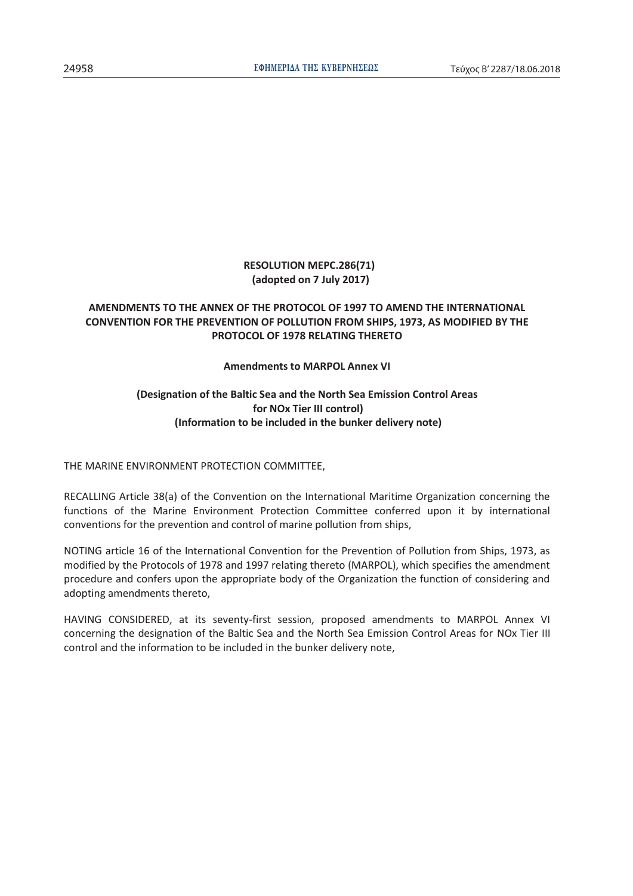## **RESOLUTION MEPC.286(71) (adopted on 7 July 2017)**

# **AMENDMENTS TO THE ANNEX OF THE PROTOCOL OF 1997 TO AMEND THE INTERNATIONAL CONVENTION FOR THE PREVENTION OF POLLUTION FROM SHIPS, 1973, AS MODIFIED BY THE PROTOCOL OF 1978 RELATING THERETO**

#### **Amendments to MARPOL Annex VI**

# **(Designation of the Baltic Sea and the North Sea Emission Control Areas for NOx Tier III control) (Information to be included in the bunker delivery note)**

THE MARINE ENVIRONMENT PROTECTION COMMITTEE,

RECALLING Article 38(a) of the Convention on the International Maritime Organization concerning the functions of the Marine Environment Protection Committee conferred upon it by international conventions for the prevention and control of marine pollution from ships,

NOTING article 16 of the International Convention for the Prevention of Pollution from Ships, 1973, as modified by the Protocols of 1978 and 1997 relating thereto (MARPOL), which specifies the amendment procedure and confers upon the appropriate body of the Organization the function of considering and adopting amendments thereto,

HAVING CONSIDERED, at its seventy-first session, proposed amendments to MARPOL Annex VI concerning the designation of the Baltic Sea and the North Sea Emission Control Areas for NOx Tier III control and the information to be included in the bunker delivery note,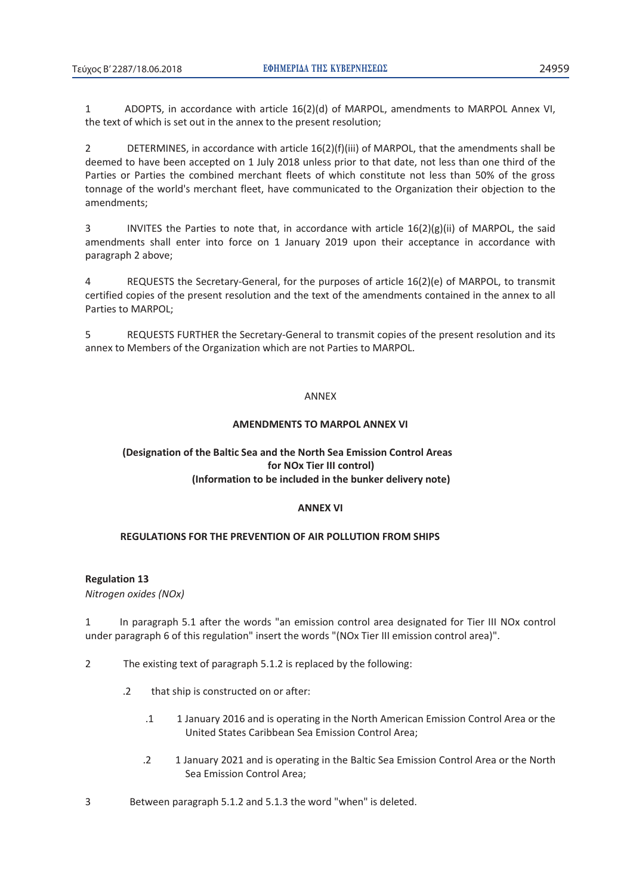1 ADOPTS, in accordance with article 16(2)(d) of MARPOL, amendments to MARPOL Annex VI, the text of which is set out in the annex to the present resolution;

2 DETERMINES, in accordance with article 16(2)(f)(iii) of MARPOL, that the amendments shall be deemed to have been accepted on 1 July 2018 unless prior to that date, not less than one third of the Parties or Parties the combined merchant fleets of which constitute not less than 50% of the gross tonnage of the world's merchant fleet, have communicated to the Organization their objection to the amendments;

3 INVITES the Parties to note that, in accordance with article  $16(2)(g)(ii)$  of MARPOL, the said amendments shall enter into force on 1 January 2019 upon their acceptance in accordance with paragraph 2 above;

4 REQUESTS the Secretary-General, for the purposes of article 16(2)(e) of MARPOL, to transmit certified copies of the present resolution and the text of the amendments contained in the annex to all Parties to MARPOL;

5 REQUESTS FURTHER the Secretary-General to transmit copies of the present resolution and its annex to Members of the Organization which are not Parties to MARPOL.

#### ANNEX

#### **AMENDMENTS TO MARPOL ANNEX VI**

## **(Designation of the Baltic Sea and the North Sea Emission Control Areas for NOx Tier III control) (Information to be included in the bunker delivery note)**

#### **ANNEX VI**

#### **REGULATIONS FOR THE PREVENTION OF AIR POLLUTION FROM SHIPS**

#### **Regulation 13**

*Nitrogen oxides (ɁɃx)*

1 In paragraph 5.1 after the words "an emission control area designated for Tier III NOx control under paragraph 6 of this regulation" insert the words "(NOx Tier III emission control area)".

2 The existing text of paragraph 5.1.2 is replaced by the following:

- .2 that ship is constructed on or after:
	- .1 1 January 2016 and is operating in the North American Emission Control Area or the United States Caribbean Sea Emission Control Area;
	- .2 1 January 2021 and is operating in the Baltic Sea Emission Control Area or the North Sea Emission Control Area;
- 3 Between paragraph 5.1.2 and 5.1.3 the word "when" is deleted.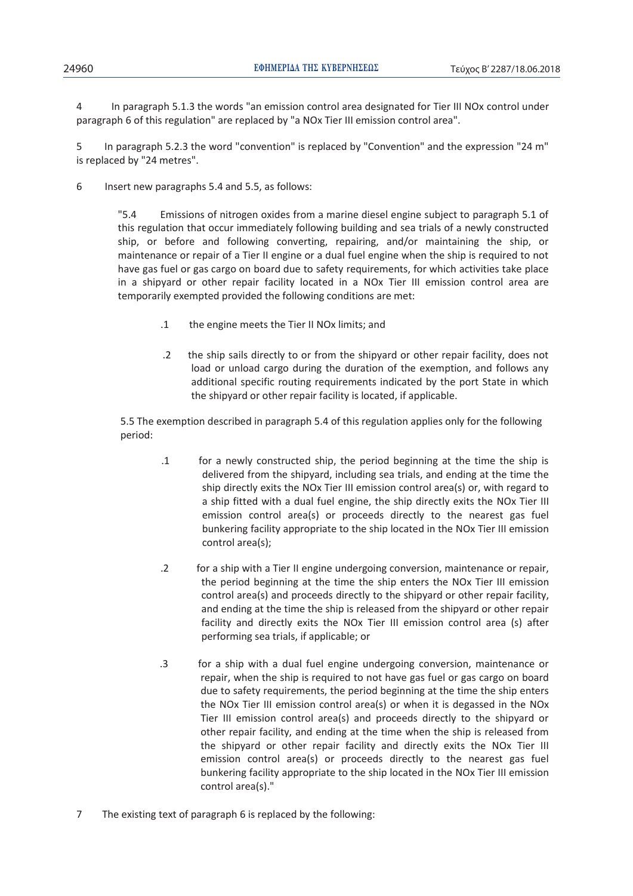4 In paragraph 5.1.3 the words "an emission control area designated for Tier III NOx control under paragraph 6 of this regulation" are replaced by "a NOx Tier III emission control area".

5 In paragraph 5.2.3 the word "convention" is replaced by "Convention" and the expression "24 m" is replaced by "24 metres".

6 Insert new paragraphs 5.4 and 5.5, as follows:

"5.4 Emissions of nitrogen oxides from a marine diesel engine subject to paragraph 5.1 of this regulation that occur immediately following building and sea trials of a newly constructed ship, or before and following converting, repairing, and/or maintaining the ship, or maintenance or repair of a Tier II engine or a dual fuel engine when the ship is required to not have gas fuel or gas cargo on board due to safety requirements, for which activities take place in a shipyard or other repair facility located in a NOx Tier III emission control area are temporarily exempted provided the following conditions are met:

- .1 the engine meets the Tier II NOx limits; and
- .2 the ship sails directly to or from the shipyard or other repair facility, does not load or unload cargo during the duration of the exemption, and follows any additional specific routing requirements indicated by the port State in which the shipyard or other repair facility is located, if applicable.

5.5 The exemption described in paragraph 5.4 of this regulation applies only for the following period:

- .1 for a newly constructed ship, the period beginning at the time the ship is delivered from the shipyard, including sea trials, and ending at the time the ship directly exits the NOx Tier III emission control area(s) or, with regard to a ship fitted with a dual fuel engine, the ship directly exits the NO<sub>x</sub> Tier III emission control area(s) or proceeds directly to the nearest gas fuel bunkering facility appropriate to the ship located in the NOx Tier III emission control area(s);
- .2 for a ship with a Tier II engine undergoing conversion, maintenance or repair, the period beginning at the time the ship enters the NO<sub>x</sub> Tier III emission control area(s) and proceeds directly to the shipyard or other repair facility, and ending at the time the ship is released from the shipyard or other repair facility and directly exits the NOx Tier III emission control area (s) after performing sea trials, if applicable; or
- .3 for a ship with a dual fuel engine undergoing conversion, maintenance or repair, when the ship is required to not have gas fuel or gas cargo on board due to safety requirements, the period beginning at the time the ship enters the NOx Tier III emission control area(s) or when it is degassed in the NOx Tier III emission control area(s) and proceeds directly to the shipyard or other repair facility, and ending at the time when the ship is released from the shipyard or other repair facility and directly exits the NOx Tier III emission control area(s) or proceeds directly to the nearest gas fuel bunkering facility appropriate to the ship located in the NOx Tier III emission control area(s)."
- 7 The existing text of paragraph 6 is replaced by the following: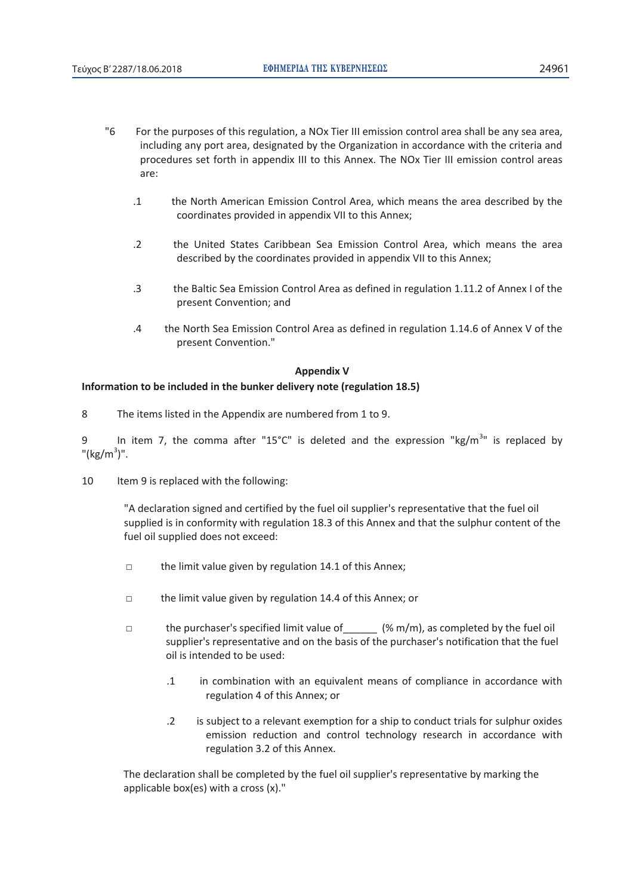- "6 For the purposes of this regulation, a NOx Tier III emission control area shall be any sea area, including any port area, designated by the Organization in accordance with the criteria and procedures set forth in appendix III to this Annex. The NOx Tier III emission control areas are:
	- .1 the North American Emission Control Area, which means the area described by the coordinates provided in appendix VII to this Annex;
	- .2 the United States Caribbean Sea Emission Control Area, which means the area described by the coordinates provided in appendix VII to this Annex;
	- .3 the Baltic Sea Emission Control Area as defined in regulation 1.11.2 of Annex I of the present Convention; and
	- .4 the North Sea Emission Control Area as defined in regulation 1.14.6 of Annex V of the present Convention."

#### **Appendix V**

#### **Information to be included in the bunker delivery note (regulation 18.5)**

8 The items listed in the Appendix are numbered from 1 to 9.

9 In item 7, the comma after "15°C" is deleted and the expression "kg/m<sup>3</sup>" is replaced by "(kg/m<sup>3</sup>)".

10 Item 9 is replaced with the following:

"A declaration signed and certified by the fuel oil supplier's representative that the fuel oil supplied is in conformity with regulation 18.3 of this Annex and that the sulphur content of the fuel oil supplied does not exceed:

- ප the limit value given by regulation 14.1 of this Annex;
- ප the limit value given by regulation 14.4 of this Annex; or
- ප the purchaser's specified limit value of \_\_\_\_\_\_ (% m/m), as completed by the fuel oil supplier's representative and on the basis of the purchaser's notification that the fuel oil is intended to be used:
	- .1 in combination with an equivalent means of compliance in accordance with regulation 4 of this Annex; or
	- .2 is subject to a relevant exemption for a ship to conduct trials for sulphur oxides emission reduction and control technology research in accordance with regulation 3.2 of this Annex.

The declaration shall be completed by the fuel oil supplier's representative by marking the applicable box(es) with a cross (x)."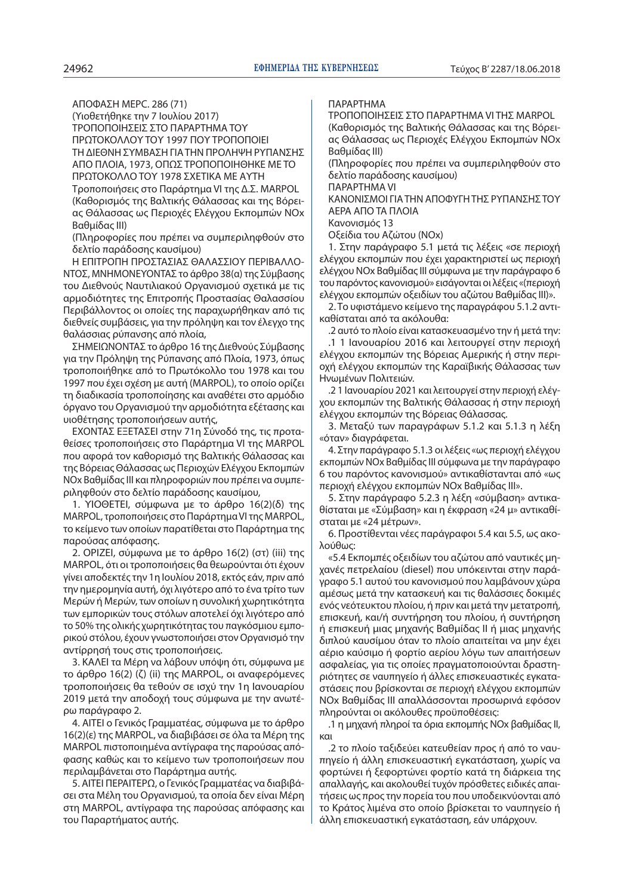(Υιοθετήθηκε την 7 Ιουλίου 2017)

ΤΡΟΠΟΠΟΙΗΣΕΙΣ ΣΤΟ ΠΑΡΑΡΤΗΜΑ ΤΟΥ

ΠΡΩΤΟΚΟΛΛΟΥ ΤΟΥ 1997 ΠΟΥ ΤΡΟΠΟΠΟΙΕΙ ΤΗ ΔΙΕΘΝΗ ΣΥΜΒΑΣΗ ΓΙΑ ΤΗΝ ΠΡΟΛΗΨΗ ΡΥΠΑΝΣΗΣ ΑΠΟ ΠΛΟΙΑ, 1973, ΟΠΩΣ ΤΡΟΠΟΠΟΙΗΘΗΚΕ ΜΕ ΤΟ

ΠΡΩΤΟΚΟΛΛΟ ΤΟΥ 1978 ΣΧΕΤΙΚΑ ΜΕ ΑΥΤΗ Τροποποιήσεις στο Παράρτημα VΙ της Δ.Σ. MARPOL (Καθορισμός της Βαλτικής Θάλασσας και της Βόρειας Θάλασσας ως Περιοχές Ελέγχου Εκπομπών ΝΟx Βαθμίδας ΙΙΙ)

 (Πληροφορίες που πρέπει να συμπεριληφθούν στο δελτίο παράδοσης καυσίμου)

Η ΕΠΙΤΡΟΠΗ ΠΡΟΣΤΑΣΙΑΣ ΘΑΛΑΣΣΙΟΥ ΠΕΡΙΒΑΛΛΟ-ΝΤΟΣ, ΜΝΗΜΟΝΕΥΟΝΤΑΣ το άρθρο 38(α) της Σύμβασης του Διεθνούς Ναυτιλιακού Οργανισμού σχετικά με τις αρμοδιότητες της Επιτροπής Προστασίας Θαλασσίου Περιβάλλοντος οι οποίες της παραχωρήθηκαν από τις διεθνείς συμβάσεις, για την πρόληψη και τον έλεγχο της θαλάσσιας ρύπανσης από πλοία,

ΣΗΜΕΙΩΝΟΝΤΑΣ το άρθρο 16 της Διεθνούς Σύμβασης για την Πρόληψη της Ρύπανσης από Πλοία, 1973, όπως τροποποιήθηκε από το Πρωτόκολλο του 1978 και του 1997 που έχει σχέση με αυτή (MARPOL), τo οποίo ορίζει τη διαδικασία τροποποίησης και αναθέτει στο αρμόδιο όργανο του Οργανισμού την αρμοδιότητα εξέτασης και υιοθέτησης τροποποιήσεων αυτής,

ΕΧΟΝΤΑΣ ΕΞΕΤΑΣΕΙ στην 71η Σύνοδό της, τις προταθείσες τροποποιήσεις στο Παράρτημα VI της MARPOL που αφορά τον καθορισμό της Βαλτικής Θάλασσας και της Βόρειας Θάλασσας ως Περιοχών Ελέγχου Εκπομπών ΝΟx Βαθμίδας ΙΙΙ και πληροφοριών που πρέπει να συμπεριληφθούν στο δελτίο παράδοσης καυσίμου,

1. ΥΙΟΘΕΤΕΙ, σύμφωνα με το άρθρο 16(2)(δ) της MARPOL, τροποποιήσεις στο Παράρτημα VΙ της MARPOL, το κείμενο των οποίων παρατίθεται στο Παράρτημα της παρούσας απόφασης.

2. ΟΡΙΖΕΙ, σύμφωνα με το άρθρο 16(2) (στ) (iii) της MARPOL, ότι οι τροποποιήσεις θα θεωρούνται ότι έχουν γίνει αποδεκτές την 1η Ιουλίου 2018, εκτός εάν, πριν από την ημερομηνία αυτή, όχι λιγότερο από το ένα τρίτο των Μερών ή Μερών, των οποίων η συνολική χωρητικότητα των εμπορικών τους στόλων αποτελεί όχι λιγότερο από το 50% της ολικής χωρητικότητας του παγκόσμιου εμπορικού στόλου, έχουν γνωστοποιήσει στον Οργανισμό την αντίρρησή τους στις τροποποιήσεις.

3. ΚΑΛΕΙ τα Μέρη να λάβουν υπόψη ότι, σύμφωνα με το άρθρο 16(2) (ζ) (ii) της MARPOL, οι αναφερόμενες τροποποιήσεις θα τεθούν σε ισχύ την 1η Ιανουαρίου 2019 μετά την αποδοχή τους σύμφωνα με την ανωτέρω παράγραφο 2.

4. ΑΙΤΕΙ ο Γενικός Γραμματέας, σύμφωνα με το άρθρο 16(2)(ε) της MARPOL, να διαβιβάσει σε όλα τα Μέρη της MARPOL πιστοποιημένα αντίγραφα της παρούσας απόφασης καθώς και το κείμενο των τροποποιήσεων που περιλαμβάνεται στο Παράρτημα αυτής.

5. ΑΙΤΕΙ ΠΕΡΑΙΤΕΡΩ, ο Γενικός Γραμματέας να διαβιβάσει στα Μέλη του Οργανισμού, τα οποία δεν είναι Μέρη στη MARPOL, αντίγραφα της παρούσας απόφασης και του Παραρτήματος αυτής.

ΠΑΡΑΡΤΗΜΑ

ΤΡΟΠΟΠΟΙΗΣΕΙΣ ΣΤΟ ΠΑΡΑΡΤΗΜΑ VI ΤΗΣ MARPOL (Καθορισμός της Βαλτικής Θάλασσας και της Βόρειας Θάλασσας ως Περιοχές Ελέγχου Εκπομπών NOx Βαθμίδας ΙΙΙ)

 (Πληροφορίες που πρέπει να συμπεριληφθούν στο δελτίο παράδοσης καυσίμου)

ΠΑΡΑΡΤΗΜΑ VI

 ΚΑΝΟΝΙΣΜΟΙ ΓΙΑ ΤΗΝ ΑΠΟΦΥΓΗ ΤΗΣ ΡΥΠΑΝΣΗΣ ΤΟΥ ΑΕΡΑ ΑΠΟ ΤΑ ΠΛΟΙΑ

Κανονισμός 13

Οξείδια του Αζώτου (ΝΟx)

1. Στην παράγραφο 5.1 μετά τις λέξεις «σε περιοχή ελέγχου εκπομπών που έχει χαρακτηριστεί ως περιοχή ελέγχου ΝΟx Βαθμίδας ΙΙΙ σύμφωνα με την παράγραφο 6 του παρόντος κανονισμού» εισάγονται οι λέξεις «(περιοχή ελέγχου εκπομπών οξειδίων του αζώτου Βαθμίδας ΙΙΙ)».

2. Το υφιστάμενο κείμενο της παραγράφου 5.1.2 αντικαθίσταται από τα ακόλουθα:

.2 αυτό το πλοίο είναι κατασκευασμένο την ή μετά την:

.1 1 Ιανουαρίου 2016 και λειτουργεί στην περιοχή ελέγχου εκπομπών της Βόρειας Αμερικής ή στην περιοχή ελέγχου εκπομπών της Καραϊβικής Θάλασσας των Ηνωμένων Πολιτειών.

.2 1 Ιανουαρίου 2021 και λειτουργεί στην περιοχή ελέγχου εκπομπών της Βαλτικής Θάλασσας ή στην περιοχή ελέγχου εκπομπών της Βόρειας Θάλασσας.

3. Μεταξύ των παραγράφων 5.1.2 και 5.1.3 η λέξη «όταν» διαγράφεται.

4. Στην παράγραφο 5.1.3 οι λέξεις «ως περιοχή ελέγχου εκπομπών ΝΟx Βαθμίδας ΙΙΙ σύμφωνα με την παράγραφο 6 του παρόντος κανονισμού» αντικαθίστανται από «ως περιοχή ελέγχου εκπομπών NOx Βαθμίδας ΙΙΙ».

5. Στην παράγραφο 5.2.3 η λέξη «σύμβαση» αντικαθίσταται με «Σύμβαση» και η έκφραση «24 μ» αντικαθίσταται με «24 μέτρων».

6. Προστίθενται νέες παράγραφοι 5.4 και 5.5, ως ακολούθως:

«5.4 Εκπομπές οξειδίων του αζώτου από ναυτικές μηχανές πετρελαίου (diesel) που υπόκεινται στην παράγραφο 5.1 αυτού του κανονισμού που λαμβάνουν χώρα αμέσως μετά την κατασκευή και τις θαλάσσιες δοκιμές ενός νεότευκτου πλοίου, ή πριν και μετά την μετατροπή, επισκευή, και/ή συντήρηση του πλοίου, ή συντήρηση ή επισκευή μιας μηχανής Βαθμίδας ΙΙ ή μιας μηχανής διπλού καυσίμου όταν το πλοίο απαιτείται να μην έχει αέριο καύσιμο ή φορτίο αερίου λόγω των απαιτήσεων ασφαλείας, για τις οποίες πραγματοποιούνται δραστηριότητες σε ναυπηγείο ή άλλες επισκευαστικές εγκαταστάσεις που βρίσκονται σε περιοχή ελέγχου εκπομπών ΝΟx Βαθμίδας ΙΙΙ απαλλάσσονται προσωρινά εφόσον πληρούνται οι ακόλουθες προϋποθέσεις:

.1 η μηχανή πληροί τα όρια εκπομπής ΝΟx βαθμίδας ΙΙ, και

.2 το πλοίο ταξιδεύει κατευθείαν προς ή από το ναυπηγείο ή άλλη επισκευαστική εγκατάσταση, χωρίς να φορτώνει ή ξεφορτώνει φορτίο κατά τη διάρκεια της απαλλαγής, και ακολουθεί τυχόν πρόσθετες ειδικές απαιτήσεις ως προς την πορεία του που υποδεικνύονται από το Κράτος λιμένα στο οποίο βρίσκεται το ναυπηγείο ή άλλη επισκευαστική εγκατάσταση, εάν υπάρχουν.